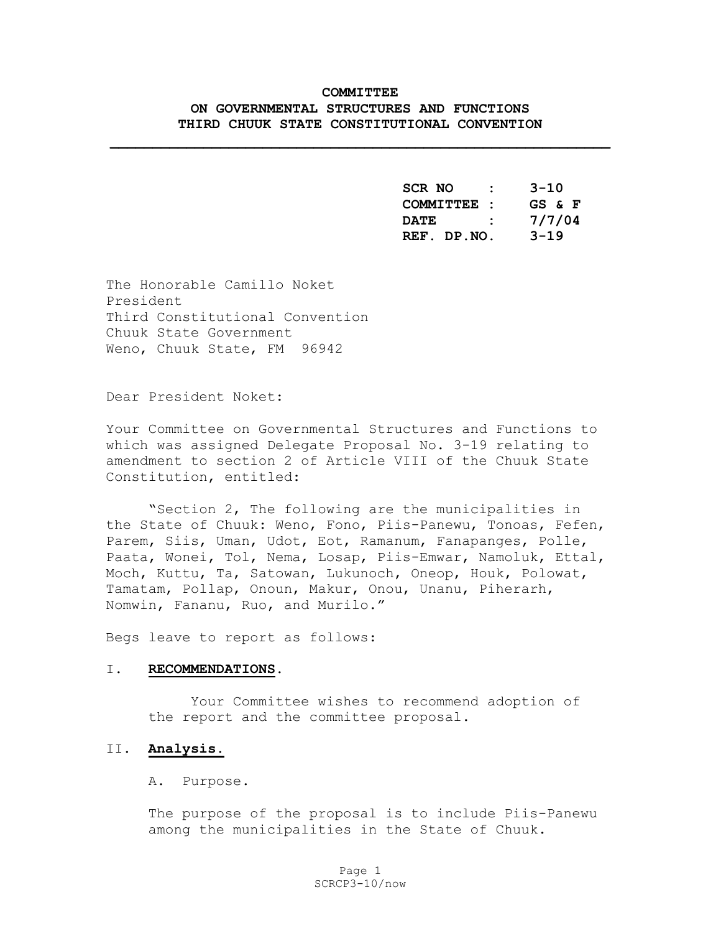# **COMMITTEE ON GOVERNMENTAL STRUCTURES AND FUNCTIONS THIRD CHUUK STATE CONSTITUTIONAL CONVENTION**

**\_\_\_\_\_\_\_\_\_\_\_\_\_\_\_\_\_\_\_\_\_\_\_\_\_\_\_\_\_\_\_\_\_\_\_\_\_\_\_\_\_\_\_\_\_\_\_\_\_\_\_\_\_\_\_\_\_\_\_** 

 **SCR NO : 3-10 COMMITTEE : GS & F DATE : 7/7/04 REF. DP.NO. 3-19** 

The Honorable Camillo Noket President Third Constitutional Convention Chuuk State Government Weno, Chuuk State, FM 96942

Dear President Noket:

Your Committee on Governmental Structures and Functions to which was assigned Delegate Proposal No. 3-19 relating to amendment to section 2 of Article VIII of the Chuuk State Constitution, entitled:

"Section 2, The following are the municipalities in the State of Chuuk: Weno, Fono, Piis-Panewu, Tonoas, Fefen, Parem, Siis, Uman, Udot, Eot, Ramanum, Fanapanges, Polle, Paata, Wonei, Tol, Nema, Losap, Piis-Emwar, Namoluk, Ettal, Moch, Kuttu, Ta, Satowan, Lukunoch, Oneop, Houk, Polowat, Tamatam, Pollap, Onoun, Makur, Onou, Unanu, Piherarh, Nomwin, Fananu, Ruo, and Murilo."

Begs leave to report as follows:

#### I. **RECOMMENDATIONS**.

Your Committee wishes to recommend adoption of the report and the committee proposal.

#### II. **Analysis.**

A. Purpose.

The purpose of the proposal is to include Piis-Panewu among the municipalities in the State of Chuuk.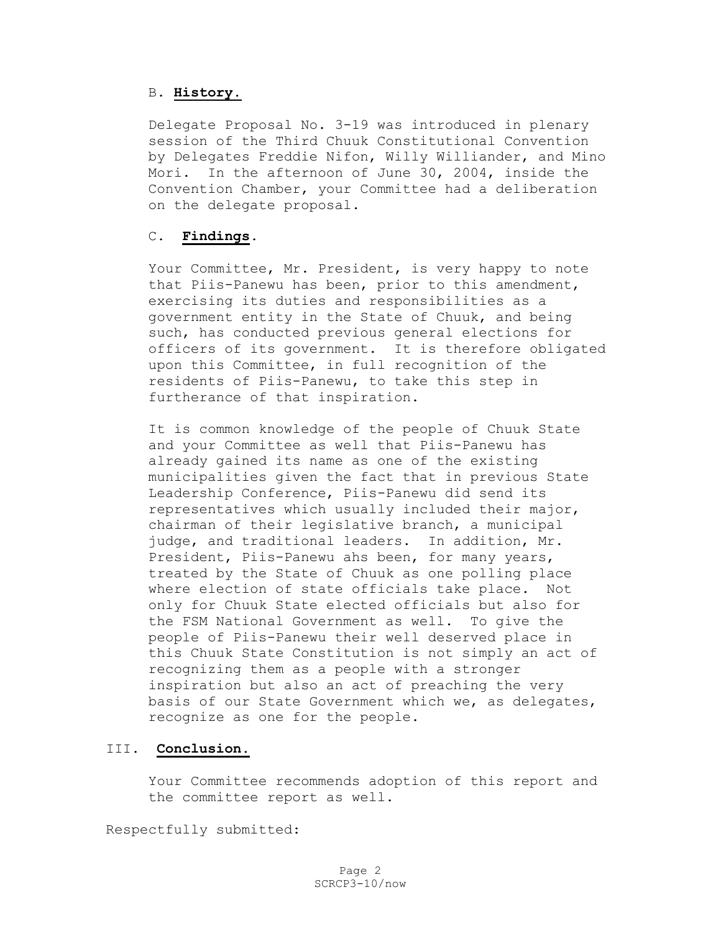### B. **History.**

Delegate Proposal No. 3-19 was introduced in plenary session of the Third Chuuk Constitutional Convention by Delegates Freddie Nifon, Willy Williander, and Mino Mori. In the afternoon of June 30, 2004, inside the Convention Chamber, your Committee had a deliberation on the delegate proposal.

# C. **Findings**.

Your Committee, Mr. President, is very happy to note that Piis-Panewu has been, prior to this amendment, exercising its duties and responsibilities as a government entity in the State of Chuuk, and being such, has conducted previous general elections for officers of its government. It is therefore obligated upon this Committee, in full recognition of the residents of Piis-Panewu, to take this step in furtherance of that inspiration.

It is common knowledge of the people of Chuuk State and your Committee as well that Piis-Panewu has already gained its name as one of the existing municipalities given the fact that in previous State Leadership Conference, Piis-Panewu did send its representatives which usually included their major, chairman of their legislative branch, a municipal judge, and traditional leaders. In addition, Mr. President, Piis-Panewu ahs been, for many years, treated by the State of Chuuk as one polling place where election of state officials take place. Not only for Chuuk State elected officials but also for the FSM National Government as well. To give the people of Piis-Panewu their well deserved place in this Chuuk State Constitution is not simply an act of recognizing them as a people with a stronger inspiration but also an act of preaching the very basis of our State Government which we, as delegates, recognize as one for the people.

# III. **Conclusion.**

Your Committee recommends adoption of this report and the committee report as well.

Respectfully submitted: